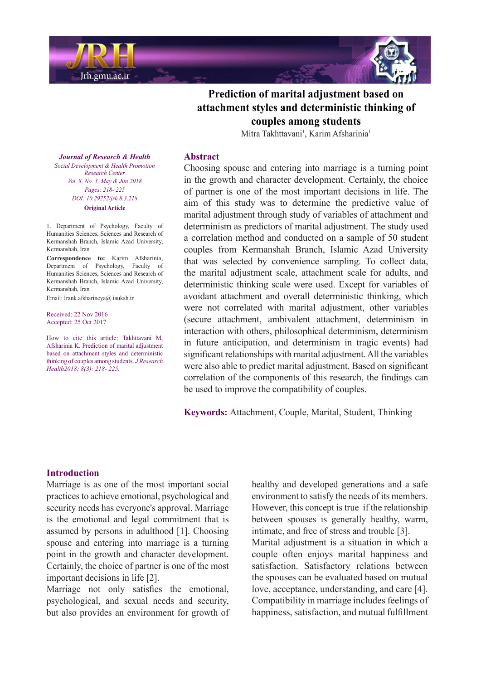

# **Prediction of marital adjustment based on** attachment styles and deterministic thinking of **students among couples**

Mitra Takhttavani<sup>1</sup>, Karim Afsharinia<sup>1</sup>

*Hournal of Research & Health Promotion Health & Development Social Center Research Vol. 8, No. 3, May & Jun 2018* Pages: 218- 225 *DOI*: 10.29252/jrh.8.3.218 **Original** Article

1. Department of Psychology, Faculty of Humanities Sciences, Sciences and Research of Kermanshah Branch, Islamic Azad University, Kermanshah, Iran

Correspondence to: Karim Afsharinia, Department of Psychology, Faculty of Humanities Sciences, Sciences and Research of Kermanshah Branch, Islamic Azad University, Kermanshah. Iran

Email: Irank.afsharineya@ iauksh.ir

Received: 22 Nov 2016 Accepted: 25 Oct 2017

How to cite this article: Takhttavani M, Afsharinia K. Prediction of marital adjustment based on attachment styles and deterministic thinking of couples among students. *J Research Health2018*; 8(3): 218- 225.

#### **Abstract**

Choosing spouse and entering into marriage is a turning point in the growth and character development. Certainly, the choice of partner is one of the most important decisions in life. The aim of this study was to determine the predictive value of marital adjustment through study of variables of attachment and determinism as predictors of marital adjustment. The study used a correlation method and conducted on a sample of 50 student couples from Kermanshah Branch, Islamic Azad University that was selected by convenience sampling. To collect data, the marital adjustment scale, attachment scale for adults, and deterministic thinking scale were used. Except for variables of avoidant attachment and overall deterministic thinking, which were not correlated with marital adjustment, other variables (secure attachment, ambivalent attachment, determinism in interaction with others, philosophical determinism, determinism in future anticipation, and determinism in tragic events) had significant relationships with marital adjustment. All the variables were also able to predict marital adjustment. Based on significant correlation of the components of this research, the findings can be used to improve the compatibility of couples.

Keywords: Attachment, Couple, Marital, Student, Thinking

#### **Introduction**

Marriage is as one of the most important social practices to achieve emotional, psychological and security needs has everyone's approval. Marriage is the emotional and legal commitment that is assumed by persons in adulthood  $[1]$ . Choosing spouse and entering into marriage is a turning point in the growth and character development. Certainly, the choice of partner is one of the most important decisions in life  $[2]$ .

Marriage not only satisfies the emotional, psychological, and sexual needs and security, but also provides an environment for growth of healthy and developed generations and a safe environment to satisfy the needs of its members. However, this concept is true if the relationship between spouses is generally healthy, warm, intimate, and free of stress and trouble [3]. Marital adjustment is a situation in which a couple often enjoys marital happiness and satisfaction. Satisfactory relations between the spouses can be evaluated based on mutual love, acceptance, understanding, and care [4]. Compatibility in marriage includes feelings of happiness, satisfaction, and mutual fulfillment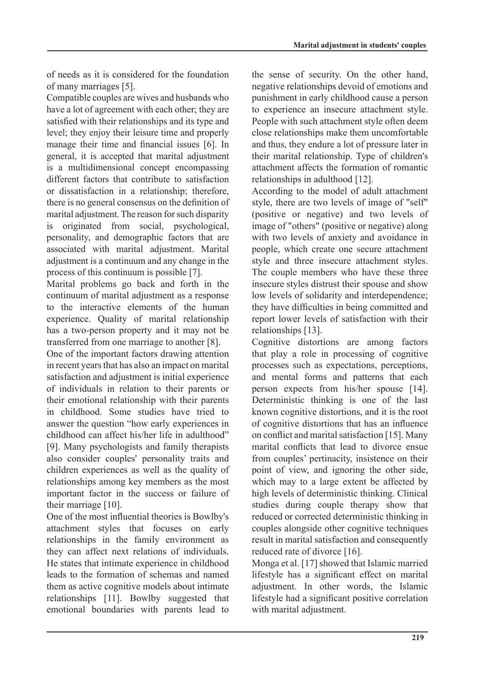of needs as it is considered for the foundation of many marriages [5].

Compatible couples are wives and husbands who have a lot of agreement with each other; they are satisfied with their relationships and its type and level; they enjoy their leisure time and properly manage their time and financial issues [6]. In general, it is accepted that marital adjustment is a multidimensional concept encompassing different factors that contribute to satisfaction or dissatisfaction in a relationship therefore there is no general consensus on the definition of marital adjustment. The reason for such disparity is originated from social, psychological, personality, and demographic factors that are associated with marital adjustment. Marital adjustment is a continuum and any change in the process of this continuum is possible  $[7]$ .

Marital problems go back and forth in the continuum of marital adjustment as a response to the interactive elements of the human experience. Quality of marital relationship has a two-person property and it may not be transferred from one marriage to another [8].

One of the important factors drawing attention in recent years that has also an impact on marital satisfaction and adjustment is initial experience of individuals in relation to their parents or their emotional relationship with their parents in childhood. Some studies have tried to answer the question "how early experiences in childhood can affect his/her life in adulthood" [9]. Many psychologists and family therapists also consider couples' personality traits and children experiences as well as the quality of relationships among key members as the most important factor in the success or failure of their marriage  $[10]$ .

One of the most influential theories is Bowlby's attachment styles that focuses on early relationships in the family environment as they can affect next relations of individuals. He states that intimate experience in childhood leads to the formation of schemas and named them as active cognitive models about intimate relationships [11]. Bowlby suggested that emotional boundaries with parents lead to the sense of security. On the other hand, negative relationships devoid of emotions and punishment in early childhood cause a person to experience an insecure attachment style. People with such attachment style often deem close relationships make them uncomfortable and thus, they endure a lot of pressure later in their marital relationship. Type of children's attachment affects the formation of romantic relationships in adulthood  $[12]$ .

According to the model of adult attachment style, there are two levels of image of "self" (positive or negative) and two levels of image of "others" (positive or negative) along with two levels of anxiety and avoidance in people, which create one secure attachment style and three insecure attachment styles. The couple members who have these three insecure styles distrust their spouse and show low levels of solidarity and interdependence; they have difficulties in being committed and report lower levels of satisfaction with their relationships [13].

Cognitive distortions are among factors that play a role in processing of cognitive processes such as expectations, perceptions, and mental forms and patterns that each person expects from his/her spouse [14]. Deterministic thinking is one of the last known cognitive distortions, and it is the root of cognitive distortions that has an influence on conflict and marital satisfaction  $[15]$ . Many marital conflicts that lead to divorce ensue from couples' pertinacity, insistence on their point of view, and ignoring the other side, which may to a large extent be affected by high levels of deterministic thinking. Clinical studies during couple therapy show that reduced or corrected deterministic thinking in couples alongside other cognitive techniques result in marital satisfaction and consequently reduced rate of divorce  $[16]$ .

Monga et al. [17] showed that Islamic married lifestyle has a significant effect on marital adjustment. In other words, the Islamic lifestyle had a significant positive correlation with marital adjustment.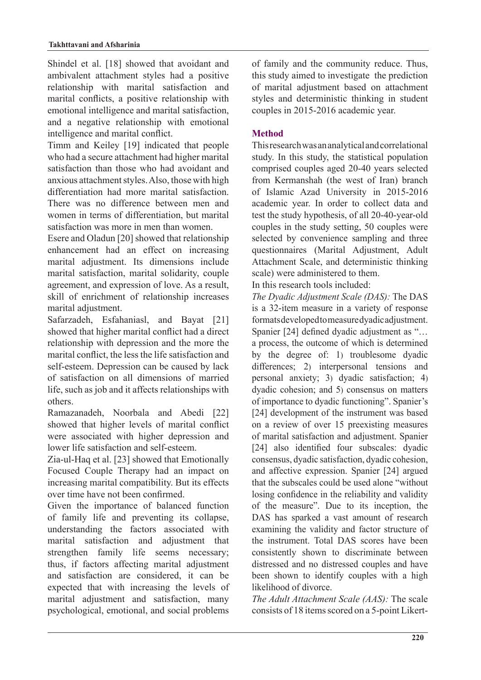Shindel et al. [18] showed that avoidant and ambivalent attachment styles had a positive relationship with marital satisfaction and marital conflicts, a positive relationship with emotional intelligence and marital satisfaction, and a negative relationship with emotional intelligence and marital conflict.

Timm and Keiley [19] indicated that people who had a secure attachment had higher marital satisfaction than those who had avoidant and anxious attachment styles. Also, those with high differentiation had more marital satisfaction. There was no difference between men and women in terms of differentiation, but marital satisfaction was more in men than women.

Esere and Oladun [20] showed that relationship enhancement had an effect on increasing marital adjustment. Its dimensions include marital satisfaction, marital solidarity, couple agreement, and expression of love. As a result, skill of enrichment of relationship increases marital adjustment.

Safarzadeh, Esfahaniasl, and Bayat [21] showed that higher marital conflict had a direct relationship with depression and the more the marital conflict, the less the life satisfaction and self-esteem. Depression can be caused by lack of satisfaction on all dimensions of married life, such as job and it affects relationships with others.

Ramazanadeh, Noorbala and Abedi [22] showed that higher levels of marital conflict were associated with higher depression and lower life satisfaction and self-esteem.

Zia-ul-Haq et al. [23] showed that Emotionally Focused Couple Therapy had an impact on increasing marital compatibility. But its effects over time have not been confirmed.

Given the importance of balanced function of family life and preventing its collapse, understanding the factors associated with marital satisfaction and adjustment that strengthen family life seems necessary; thus, if factors affecting marital adjustment and satisfaction are considered, it can be expected that with increasing the levels of marital adjustment and satisfaction, many psychological, emotional, and social problems of family and the community reduce. Thus, this study aimed to investigate the prediction of marital adjustment based on attachment styles and deterministic thinking in student couples in 2015-2016 academic year.

## **Method**

This research was an analytical and correlational study. In this study, the statistical population comprised couples aged 20-40 years selected from Kermanshah (the west of Iran) branch of Islamic Azad University in 2015-2016 academic year. In order to collect data and test the study hypothesis, of all 20-40-year-old couples in the study setting, 50 couples were selected by convenience sampling and three questionnaires (Marital Adjustment, Adult Attachment Scale, and deterministic thinking scale) were administered to them.

In this research tools included:

The *Dyadic Adjustment Scale (DAS)*: The DAS is a 32-item measure in a variety of response formats developed to measure dyadic adjustment. Spanier  $[24]$  defined dyadic adjustment as "... a process, the outcome of which is determined by the degree of: 1) troublesome dyadic differences; 2) interpersonal tensions and personal anxiety; 3) dyadic satisfaction; 4) dyadic cohesion; and 5) consensus on matters of importance to dyadic functioning". Spanier's [24] development of the instrument was based on a review of over 15 preexisting measures of marital satisfaction and adjustment. Spanier [24] also identified four subscales: dyadic consensus, dyadic satisfaction, dyadic cohesion, and affective expression. Spanier [24] argued that the subscales could be used alone "without" losing confidence in the reliability and validity of the measure". Due to its inception, the DAS has sparked a vast amount of research examining the validity and factor structure of the instrument. Total DAS scores have been consistently shown to discriminate between distressed and no distressed couples and have been shown to identify couples with a high likelihood of divorce.

The *Adult Attachment Scale (AAS)*: The scale consists of 18 items scored on a 5-point Likert-<br>220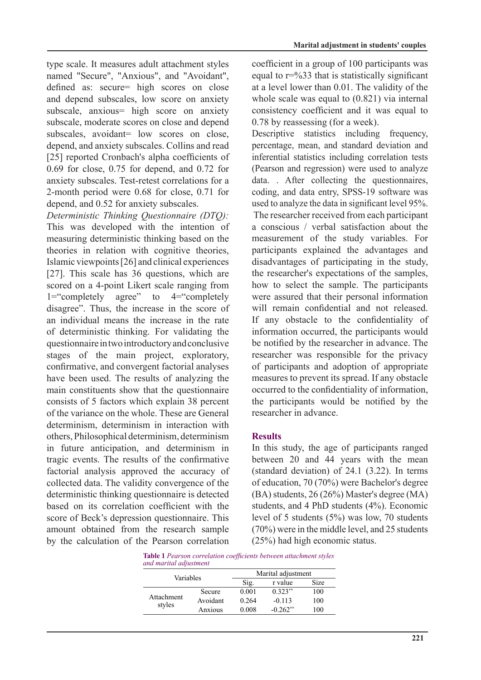type scale. It measures adult attachment styles named "Secure", "Anxious", and "Avoidant", defined as: secure = high scores on close and depend subscales, low score on anxiety subscale, anxious = high score on anxiety subscale, moderate scores on close and depend subscales, avoidant = low scores on close, depend, and anxiety subscales. Collins and read [25] reported Cronbach's alpha coefficients of  $0.69$  for close,  $0.75$  for depend, and  $0.72$  for anxiety subscales. Test-retest correlations for a 2-month period were  $0.68$  for close,  $0.71$  for depend, and 0.52 for anxiety subscales.

*Deterministic Thinking Questionnaire (DTO):* This was developed with the intention of measuring deterministic thinking based on the theories in relation with cognitive theories, Islamic viewpoints  $[26]$  and clinical experiences [27]. This scale has  $36$  questions, which are scored on a 4-point Likert scale ranging from  $l =$ "completely agree" to  $4 =$ "completely disagree". Thus, the increase in the score of an individual means the increase in the rate of deterministic thinking. For validating the questionnaire in two introductory and conclusive stages of the main project, exploratory, confirmative, and convergent factorial analyses have been used. The results of analyzing the main constituents show that the questionnaire consists of 5 factors which explain 38 percent of the variance on the whole These are General determinism, determinism in interaction with others, Philosophical determinism, determinism in future anticipation, and determinism in tragic events. The results of the confirmative factorial analysis approved the accuracy of collected data. The validity convergence of the deterministic thinking questionnaire is detected based on its correlation coefficient with the score of Beck's depression questionnaire. This amount obtained from the research sample by the calculation of the Pearson correlation coefficient in a group of 100 participants was equal to  $r = \frac{9}{33}$  that is statistically significant at a level lower than  $0.01$ . The validity of the whole scale was equal to  $(0.821)$  via internal consistency coefficient and it was equal to  $0.78$  by reassessing (for a week).

Descriptive statistics including frequency, percentage, mean, and standard deviation and inferential statistics including correlation tests (Pearson and regression) were used to analyze data. . After collecting the questionnaires, coding, and data entry, SPSS-19 software was used to analyze the data in significant level 95%. The researcher received from each participant a conscious  $/$  verbal satisfaction about the measurement of the study variables. For participants explained the advantages and disadvantages of participating in the study, the researcher's expectations of the samples, how to select the sample. The participants were assured that their personal information will remain confidential and not released. If any obstacle to the confidentiality of information occurred, the participants would be notified by the researcher in advance. The researcher was responsible for the privacy of participants and adoption of appropriate measures to prevent its spread. If any obstacle occurred to the confidentiality of information, the participants would be notified by the researcher in advance

## **Results**

In this study, the age of participants ranged between 20 and 44 years with the mean (standard deviation) of  $24.1$   $(3.22)$ . In terms of education.  $70(70\%)$  were Bachelor's degree  $(BA)$  students, 26 (26%) Master's degree  $(MA)$ students, and 4 PhD students  $(4%)$ . Economic level of 5 students  $(5\%)$  was low, 70 students  $(70\%)$  were in the middle level, and 25 students  $(25%)$  had high economic status.

**Table 1** Pearson correlation coefficients between attachment styles *adjustment marital and*

|                      |          | Marital adjustment |            |      |  |  |  |
|----------------------|----------|--------------------|------------|------|--|--|--|
| Variables            |          | Sig.               | r value    | Size |  |  |  |
| Attachment<br>styles | Secure   | 0.001              | $0.323**$  | 100  |  |  |  |
|                      | Avoidant | 0.264              | $-0.113$   | 100  |  |  |  |
|                      | Anxious  | 0.008              | $-0.262**$ | 100  |  |  |  |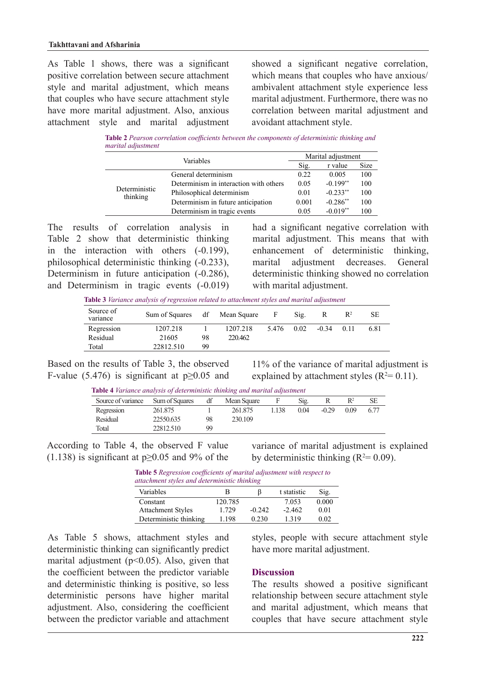As Table 1 shows, there was a significant positive correlation between secure attachment style and marital adjustment, which means that couples who have secure attachment style have more marital adjustment. Also, anxious attachment style and marital adjustment showed a significant negative correlation, which means that couples who have anxious/ ambivalent attachment style experience less marital adjustment. Furthermore, there was no correlation between marital adjustment and avoidant attachment style.

**Table 2** Pearson correlation coefficients between the components of deterministic thinking and *adjustment marital*

|                           | Marital adjustment                     |         |            |     |  |
|---------------------------|----------------------------------------|---------|------------|-----|--|
|                           | Sig.                                   | r value | Size       |     |  |
|                           | General determinism                    | 0.22    | 0.005      | 100 |  |
| Deterministic<br>thinking | Determinism in interaction with others | 0.05    | $-0.199**$ | 100 |  |
|                           | Philosophical determinism              | 0.01    | $-0.233**$ | 100 |  |
|                           | Determinism in future anticipation     | 0.001   | $-0.286**$ | 100 |  |
|                           | Determinism in tragic events           | 0.05    | $-0.019**$ | 100 |  |

The results of correlation analysis in Table 2 show that deterministic thinking in the interaction with others  $(-0.199)$ , philosophical deterministic thinking  $(-0.233)$ , Determinism in future anticipation  $(-0.286)$ , and Determinism in tragic events  $(-0.019)$  had a significant negative correlation with marital adjustment. This means that with enhancement of deterministic thinking, marital adjustment decreases. General deterministic thinking showed no correlation with marital adjustment.

**Table 3** Variance analysis of regression related to attachment styles and marital adjustment

| Source of<br>variance | Sum of Squares | df | Mean Square | F    | Sig. | R       | $\mathbf{R}^2$ | SЕ   |
|-----------------------|----------------|----|-------------|------|------|---------|----------------|------|
| Regression            | 1207.218       |    | 1207.218    | 5476 | 0.02 | $-0.34$ | 0.11           | 6.81 |
| Residual              | 21605          | 98 | 220.462     |      |      |         |                |      |
| Total                 | 22812.510      | 99 |             |      |      |         |                |      |
|                       |                |    |             |      |      |         |                |      |

Based on the results of Table 3, the observed F-value (5.476) is significant at  $p \ge 0.05$  and  $11\%$  of the variance of marital adjustment is explained by attachment styles  $(R^2=0.11)$ .

|  |  | Table 4 Variance analysis of deterministic thinking and marital adjustment |  |  |
|--|--|----------------------------------------------------------------------------|--|--|
|  |  |                                                                            |  |  |

| Source of variance | Sum of Squares | df | Mean Square | н     | Sig. |         | $\mathbb{R}^2$ | SЕ   |
|--------------------|----------------|----|-------------|-------|------|---------|----------------|------|
| Regression         | 261.875        |    | 261.875     | 1.138 | 0.04 | $-0.29$ | 0.09           | 6.77 |
| Residual           | 22550.635      | 98 | 230.109     |       |      |         |                |      |
| Total              | 22812.510      | 99 |             |       |      |         |                |      |

According to Table 4, the observed  $F$  value  $(1.138)$  is significant at p > 0.05 and 9% of the variance of marital adjustment is explained by deterministic thinking  $(R^2=0.09)$ .

**Table 5** Regression coefficients of marital adjustment with respect to *attachment styles and deterministic thinking* 

| Variables                | В       | B        | t statistic | Sig.  |
|--------------------------|---------|----------|-------------|-------|
| Constant                 | 120.785 |          | 7.053       | 0.000 |
| <b>Attachment Styles</b> | 1 729   | $-0.242$ | $-2.462$    | 0.01  |
| Deterministic thinking   | 1.198   | 0.230    | 1319        | 0.02  |

As Table 5 shows, attachment styles and deterministic thinking can significantly predict marital adjustment ( $p<0.05$ ). Also, given that the coefficient between the predictor variable and deterministic thinking is positive, so less deterministic persons have higher marital adjustment. Also, considering the coefficient between the predictor variable and attachment

styles, people with secure attachment styles have more marital adjustment.

#### **Discussion**

The results showed a positive significant relationship between secure attachment style and marital adjustment, which means that couples that have secure attachment style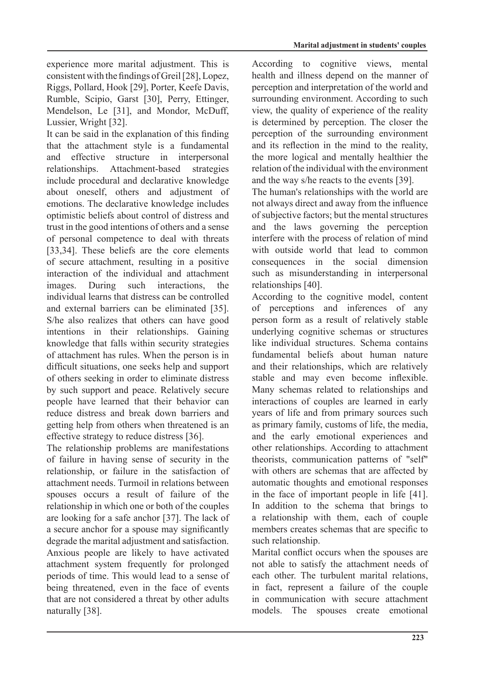experience more marital adjustment. This is consistent with the findings of Greil  $[28]$ , Lopez, Riggs, Pollard, Hook [29], Porter, Keefe Davis, Rumble, Scipio, Garst [30], Perry, Ettinger, Mendelson, Le [31], and Mondor, McDuff, Lussier, Wright [32].

It can be said in the explanation of this finding that the attachment style is a fundamental and effective structure in interpersonal relationships. Attachment-based strategies include procedural and declarative knowledge about oneself, others and adjustment of emotions. The declarative knowledge includes optimistic beliefs about control of distress and trust in the good intentions of others and a sense of personal competence to deal with threats [33,34]. These beliefs are the core elements of secure attachment, resulting in a positive interaction of the individual and attachment images. During such interactions, the individual learns that distress can be controlled and external barriers can be eliminated [35]. S/he also realizes that others can have good intentions in their relationships. Gaining knowledge that falls within security strategies of attachment has rules. When the person is in difficult situations, one seeks help and support of others seeking in order to eliminate distress by such support and peace. Relatively secure people have learned that their behavior can reduce distress and break down barriers and getting help from others when threatened is an effective strategy to reduce distress  $[36]$ .

The relationship problems are manifestations of failure in having sense of security in the relationship, or failure in the satisfaction of attachment needs. Turmoil in relations between spouses occurs a result of failure of the relationship in which one or both of the couples are looking for a safe anchor  $[37]$ . The lack of a secure anchor for a spouse may significantly degrade the marital adjustment and satisfaction. Anxious people are likely to have activated attachment system frequently for prolonged periods of time. This would lead to a sense of being threatened, even in the face of events that are not considered a threat by other adults naturally [38].

According to cognitive views, mental health and illness depend on the manner of perception and interpretation of the world and surrounding environment. According to such view, the quality of experience of the reality is determined by perception. The closer the perception of the surrounding environment and its reflection in the mind to the reality, the more logical and mentally healthier the relation of the individual with the environment and the way s/he reacts to the events [39].

The human's relationships with the world are not always direct and away from the influence of subjective factors; but the mental structures and the laws governing the perception interfere with the process of relation of mind with outside world that lead to common consequences in the social dimension such as misunderstanding in interpersonal relationships [40].

According to the cognitive model, content of perceptions and inferences of any person form as a result of relatively stable underlying cognitive schemas or structures like individual structures Schema contains fundamental beliefs about human nature and their relationships, which are relatively stable and may even become inflexible. Many schemas related to relationships and interactions of couples are learned in early years of life and from primary sources such as primary family, customs of life, the media, and the early emotional experiences and other relationships. According to attachment theorists, communication patterns of "self" with others are schemas that are affected by automatic thoughts and emotional responses in the face of important people in life  $[41]$ . In addition to the schema that brings to a relationship with them, each of couple members creates schemas that are specific to such relationship.

Marital conflict occurs when the spouses are not able to satisfy the attachment needs of each other. The turbulent marital relations, in fact, represent a failure of the couple in communication with secure attachment models. The spouses create emotional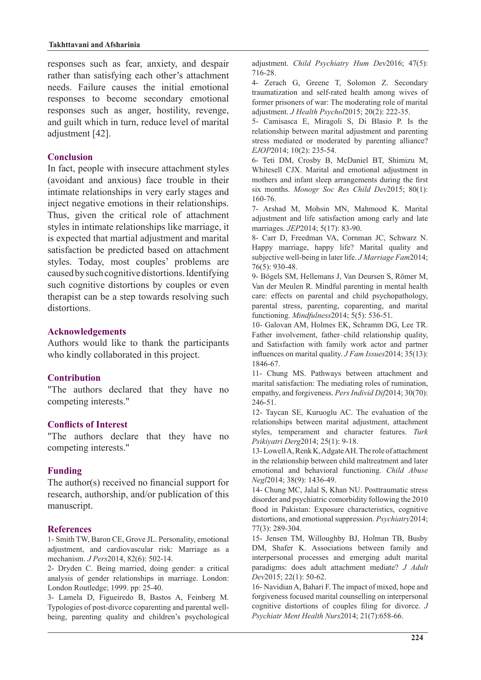responses such as fear, anxiety, and despair rather than satisfying each other's attachment needs. Failure causes the initial emotional responses to become secondary emotional responses such as anger, hostility, revenge, and guilt which in turn, reduce level of marital adjustment [42].

### **Conclusion**

In fact, people with insecure attachment styles (avoidant and anxious) face trouble in their intimate relationships in very early stages and inject negative emotions in their relationships. Thus, given the critical role of attachment styles in intimate relationships like marriage, it is expected that martial adjustment and marital satisfaction be predicted based on attachment styles. Today, most couples' problems are caused by such cognitive distortions. Identifying such cognitive distortions by couples or even therapist can be a step towards resolving such distortions.

#### **Acknowledgements**

Authors would like to thank the participants who kindly collaborated in this project.

## **Contribution**

"The authors declared that they have no competing interests."

#### **Conflicts of Interest**

"The authors declare that they have no competing interests."

## **Funding**

The author(s) received no financial support for research, authorship, and/or publication of this manuscript.

#### **References**

1- Smith TW, Baron CE, Grove JL. Personality, emotional adjustment, and cardiovascular risk: Marriage as a mechanism. *J Pers* 2014, 82(6): 502-14.

2- Dryden C. Being married, doing gender: a critical analysis of gender relationships in marriage. London: London Routledge; 1999. pp: 25-40.

3- Lamela D, Figueiredo B, Bastos A, Feinberg M. being, parenting quality and children's psychological Typologies of post-divorce coparenting and parental welladjustment. *Child Psychiatry Hum Dev* 2016; 47(5): 716-28.

4- Zerach G, Greene T, Solomon Z. Secondary traumatization and self-rated health among wives of former prisoners of war: The moderating role of marital adjustment. *J Health Psychol* 2015; 20(2): 222-35.

5- Camisasca E, Miragoli S, Di Blasio P. Is the relationship between marital adjustment and parenting stress mediated or moderated by parenting alliance? EJOP2014; 10(2): 235-54.

6- Teti DM, Crosby B, McDaniel BT, Shimizu M, Whitesell CJX. Marital and emotional adjustment in mothers and infant sleep arrangements during the first six months. Monogr Soc Res Child Dev2015; 80(1): 160-76.

7- Arshad M, Mohsin MN, Mahmood K. Marital adjustment and life satisfaction among early and late marriages. *JEP* 2014; 5(17): 83-90.

8- Carr D, Freedman VA, Cornman JC, Schwarz N. Happy marriage, happy life? Marital quality and subjective well-being in later life. *J Marriage Fam* 2014;  $76(5)$ : 930-48.

9- Bögels SM, Hellemans J, Van Deursen S, Römer M, Van der Meulen R. Mindful parenting in mental health care: effects on parental and child psychopathology, parental stress, parenting, coparenting, and marital functioning. *Mindfulness* 2014; 5(5): 536-51.

10- Galovan AM, Holmes EK, Schramm DG, Lee TR. Father involvement, father-child relationship quality, and Satisfaction with family work actor and partner influences on marital quality. *J Fam Issues* 2014; 35(13): 1846-67.

11- Chung MS. Pathways between attachment and marital satisfaction: The mediating roles of rumination, empathy, and forgiveness. Pers Individ Dif 2014; 30(70): 246-51.

12- Taycan SE, Kuruoglu AC. The evaluation of the relationships between marital adjustment, attachment styles, temperament and character features. Turk Psikiyatri Derg 2014; 25(1): 9-18.

13-Lowell A, Renk K, Adgate AH. The role of attachment in the relationship between child maltreatment and later emotional and behavioral functioning. *Child Abuse* Negl<sub>2014</sub>: 38(9): 1436-49.

14- Chung MC, Jalal S, Khan NU. Posttraumatic stress disorder and psychiatric comorbidity following the 2010 flood in Pakistan: Exposure characteristics, cognitive distortions, and emotional suppression. *Psychiatry* 2014; 77(3): 289-304.

15- Jensen TM, Willoughby BJ, Holman TB, Busby DM, Shafer K. Associations between family and interpersonal processes and emerging adult marital paradigms: does adult attachment mediate? *J Adult* Dev2015; 22(1): 50-62.

16- Navidian A, Bahari F. The impact of mixed, hope and forgiveness focused marital counselling on interpersonal cognitive distortions of couples filing for divorce. J Psychiatr Ment Health Nurs 2014; 21(7):658-66.